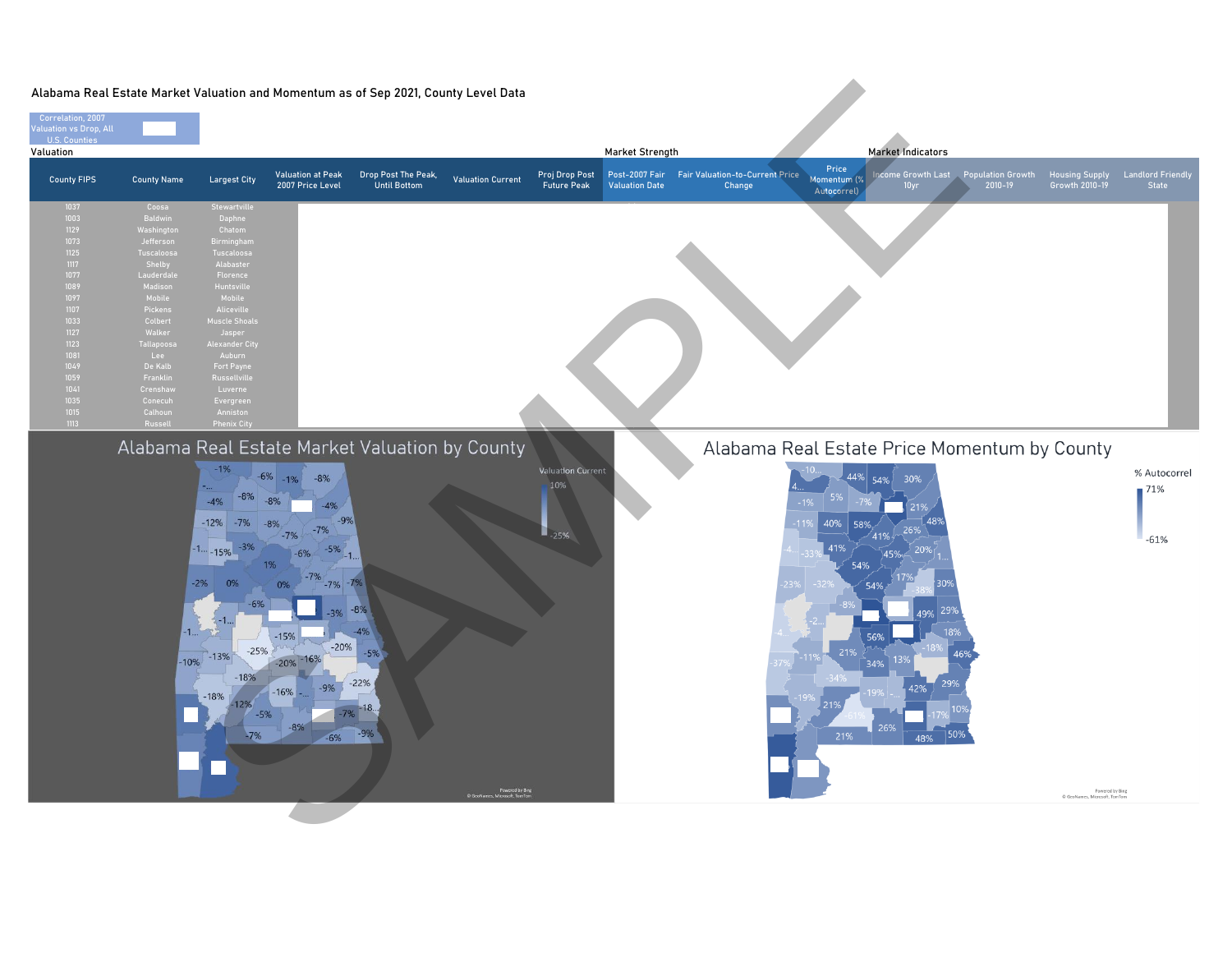| Correlation, 2007<br>Valuation vs Drop, All<br>U.S. Counties                                                                                                 |                                                                                                                                                                                                                                       | Alabama Real Estate Market Valuation and Momentum as of Sep 2021, County Level Data                                                                                                                                                                                                             |                                                                                                                                                                                              |                                                                                              |                          |                                        |                                                                                             |                                                                                                                                                                                                            |                                                                                |                                   |
|--------------------------------------------------------------------------------------------------------------------------------------------------------------|---------------------------------------------------------------------------------------------------------------------------------------------------------------------------------------------------------------------------------------|-------------------------------------------------------------------------------------------------------------------------------------------------------------------------------------------------------------------------------------------------------------------------------------------------|----------------------------------------------------------------------------------------------------------------------------------------------------------------------------------------------|----------------------------------------------------------------------------------------------|--------------------------|----------------------------------------|---------------------------------------------------------------------------------------------|------------------------------------------------------------------------------------------------------------------------------------------------------------------------------------------------------------|--------------------------------------------------------------------------------|-----------------------------------|
| Valuation                                                                                                                                                    |                                                                                                                                                                                                                                       |                                                                                                                                                                                                                                                                                                 |                                                                                                                                                                                              |                                                                                              |                          |                                        | Market Strength                                                                             | Market Indicators                                                                                                                                                                                          |                                                                                |                                   |
| <b>County FIPS</b>                                                                                                                                           | <b>County Name</b>                                                                                                                                                                                                                    | <b>Largest City</b>                                                                                                                                                                                                                                                                             | <b>Valuation at Peak</b><br>2007 Price Level                                                                                                                                                 | Drop Post The Peak,<br><b>Until Bottom</b>                                                   | <b>Valuation Current</b> | Proj Drop Post<br><b>Future Peak</b>   | <b>Fair Valuation-to-Current Price</b><br>Post-2007 Fair<br><b>Valuation Date</b><br>Change | Price<br><b>Icome Growth Last</b><br>Momentum (%<br>10yr<br>Autocorrel)                                                                                                                                    | <b>Population Growth</b><br><b>Housing Supply</b><br>2010-19<br>Growth 2010-19 | <b>Landlord Friendly</b><br>State |
| 1037<br>1003<br>1129<br>1073<br>1125<br>1117<br>1077<br>1089<br>1097<br>1107<br>1033<br>1127<br>1123<br>1081<br>1049<br>1059<br>1041<br>1035<br>1015<br>1113 | Coosa<br>Baldwin<br>Washington<br>Jefferson<br>Tuscaloosa<br>Shelby<br>Lauderdale<br>Madisor<br>Mobile<br>Pickens<br>Colbert<br>Walker<br><b>Tallapoos</b><br>Lee<br>De Kalb<br>Franklin<br>Crenshav<br>Conecuh<br>Calhoun<br>Russell | Stewartville<br>Daphne<br>Chatom<br>Birmingham<br>Tuscaloosa<br>Alabaster<br>Florence<br>Huntsville<br>Mobile<br>Aliceville<br><b>Muscle Shoals</b><br>Jasper<br>Alexander City<br>Auburn<br><b>Fort Payne</b><br><b>Russellville</b><br>Luverne<br>Evergreen<br>Anniston<br><b>Phenix City</b> |                                                                                                                                                                                              |                                                                                              |                          |                                        |                                                                                             |                                                                                                                                                                                                            |                                                                                |                                   |
|                                                                                                                                                              |                                                                                                                                                                                                                                       | $-1%$<br>$-8%$<br>$-4%$<br>$-12\% -7\% -8\%$<br>$-3%$<br>$-1 - 15\%$<br>$-2%$<br>0%<br>$-6%$<br>$-25%$<br>$-10\%$ $-13\%$<br>18%<br>$-18%$<br>$-12%$<br>$-5%$<br>$-7%$                                                                                                                          | $-6\% -1\%$<br>$-8%$<br>$-8%$<br>$-4%$<br>$-9%$<br>$-7%$<br>$-7%$<br>$-5%$<br>$-6%$<br>$-1.$<br>1%<br>$-7\% - 7\%$<br>0%<br>$-15%$<br>$-20%$<br>$-20\% - 16\%$<br>$-9%$<br>$-16%$ -<br>$-6%$ | Alabama Real Estate Market Valuation by County<br>$-8%$<br>$-4%$<br>$-5%$<br>$-22%$<br>$-9%$ |                          | <b>Valuation Current</b><br>10%<br>25% |                                                                                             | Alabama Real Estate Price Momentum by County<br>44% 54%<br>30%<br>40%<br>58%<br>26%<br>41%<br>41%<br>20<br>45%<br>54%<br>54%<br>49% 29%<br>56%<br>21%<br>34%<br>299<br>42%<br>26%<br>$ 50\%$<br>21%<br>48% | 46%<br>Powered by Bing<br>© GeoNames, Microsoft, TomTom                        | % Autocorrel<br>71%<br>$-61%$     |